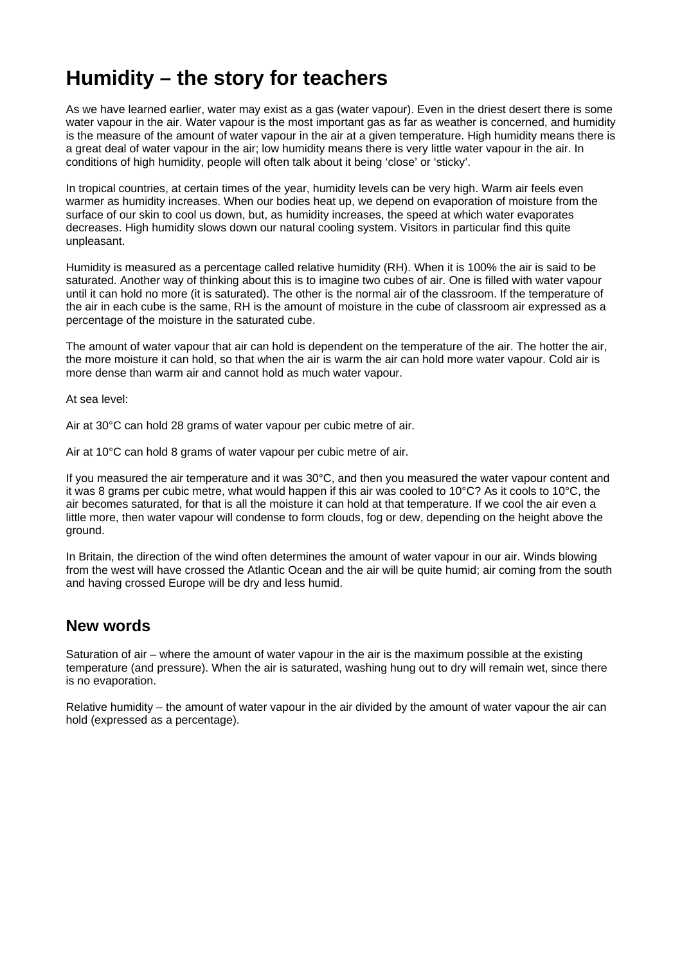# **Humidity – the story for teachers**

As we have learned earlier, water may exist as a gas (water vapour). Even in the driest desert there is some water vapour in the air. Water vapour is the most important gas as far as weather is concerned, and humidity is the measure of the amount of water vapour in the air at a given temperature. High humidity means there is a great deal of water vapour in the air; low humidity means there is very little water vapour in the air. In conditions of high humidity, people will often talk about it being 'close' or 'sticky'.

In tropical countries, at certain times of the year, humidity levels can be very high. Warm air feels even warmer as humidity increases. When our bodies heat up, we depend on evaporation of moisture from the surface of our skin to cool us down, but, as humidity increases, the speed at which water evaporates decreases. High humidity slows down our natural cooling system. Visitors in particular find this quite unpleasant.

Humidity is measured as a percentage called relative humidity (RH). When it is 100% the air is said to be saturated. Another way of thinking about this is to imagine two cubes of air. One is filled with water vapour until it can hold no more (it is saturated). The other is the normal air of the classroom. If the temperature of the air in each cube is the same, RH is the amount of moisture in the cube of classroom air expressed as a percentage of the moisture in the saturated cube.

The amount of water vapour that air can hold is dependent on the temperature of the air. The hotter the air, the more moisture it can hold, so that when the air is warm the air can hold more water vapour. Cold air is more dense than warm air and cannot hold as much water vapour.

At sea level:

Air at 30°C can hold 28 grams of water vapour per cubic metre of air.

Air at 10°C can hold 8 grams of water vapour per cubic metre of air.

If you measured the air temperature and it was 30°C, and then you measured the water vapour content and it was 8 grams per cubic metre, what would happen if this air was cooled to 10°C? As it cools to 10°C, the air becomes saturated, for that is all the moisture it can hold at that temperature. If we cool the air even a little more, then water vapour will condense to form clouds, fog or dew, depending on the height above the ground.

In Britain, the direction of the wind often determines the amount of water vapour in our air. Winds blowing from the west will have crossed the Atlantic Ocean and the air will be quite humid; air coming from the south and having crossed Europe will be dry and less humid.

### **New words**

Saturation of air – where the amount of water vapour in the air is the maximum possible at the existing temperature (and pressure). When the air is saturated, washing hung out to dry will remain wet, since there is no evaporation.

Relative humidity – the amount of water vapour in the air divided by the amount of water vapour the air can hold (expressed as a percentage).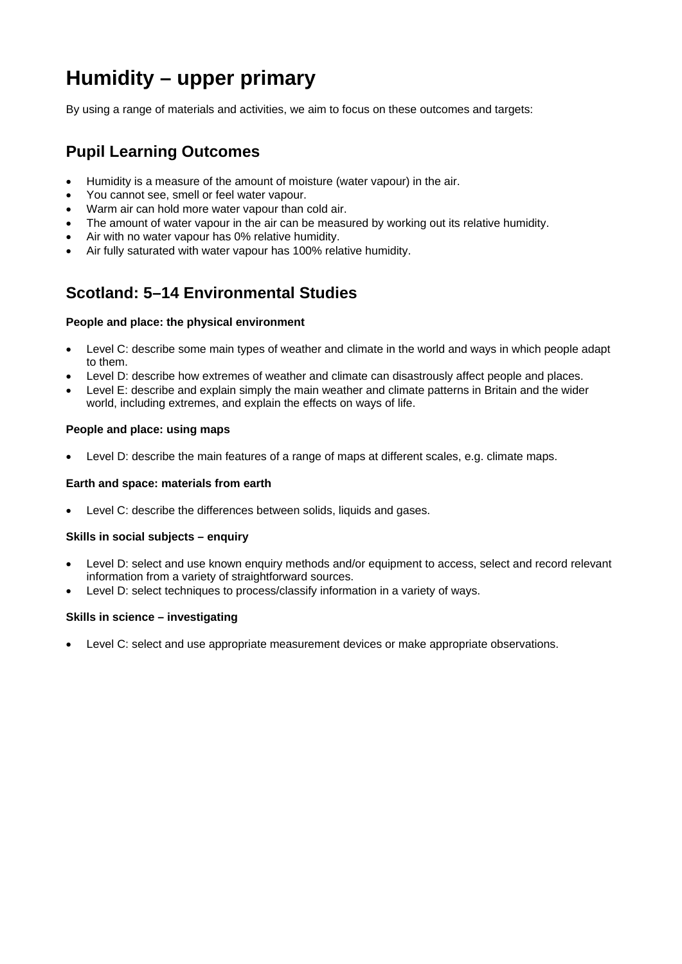# **Humidity – upper primary**

By using a range of materials and activities, we aim to focus on these outcomes and targets:

## **Pupil Learning Outcomes**

- Humidity is a measure of the amount of moisture (water vapour) in the air.
- You cannot see, smell or feel water vapour.
- Warm air can hold more water vapour than cold air.
- The amount of water vapour in the air can be measured by working out its relative humidity.
- Air with no water vapour has 0% relative humidity.
- Air fully saturated with water vapour has 100% relative humidity.

## **Scotland: 5–14 Environmental Studies**

#### **People and place: the physical environment**

- Level C: describe some main types of weather and climate in the world and ways in which people adapt to them.
- Level D: describe how extremes of weather and climate can disastrously affect people and places.
- Level E: describe and explain simply the main weather and climate patterns in Britain and the wider world, including extremes, and explain the effects on ways of life.

#### **People and place: using maps**

• Level D: describe the main features of a range of maps at different scales, e.g. climate maps.

#### **Earth and space: materials from earth**

• Level C: describe the differences between solids, liquids and gases.

#### **Skills in social subjects – enquiry**

- Level D: select and use known enquiry methods and/or equipment to access, select and record relevant information from a variety of straightforward sources.
- Level D: select techniques to process/classify information in a variety of ways.

#### **Skills in science – investigating**

• Level C: select and use appropriate measurement devices or make appropriate observations.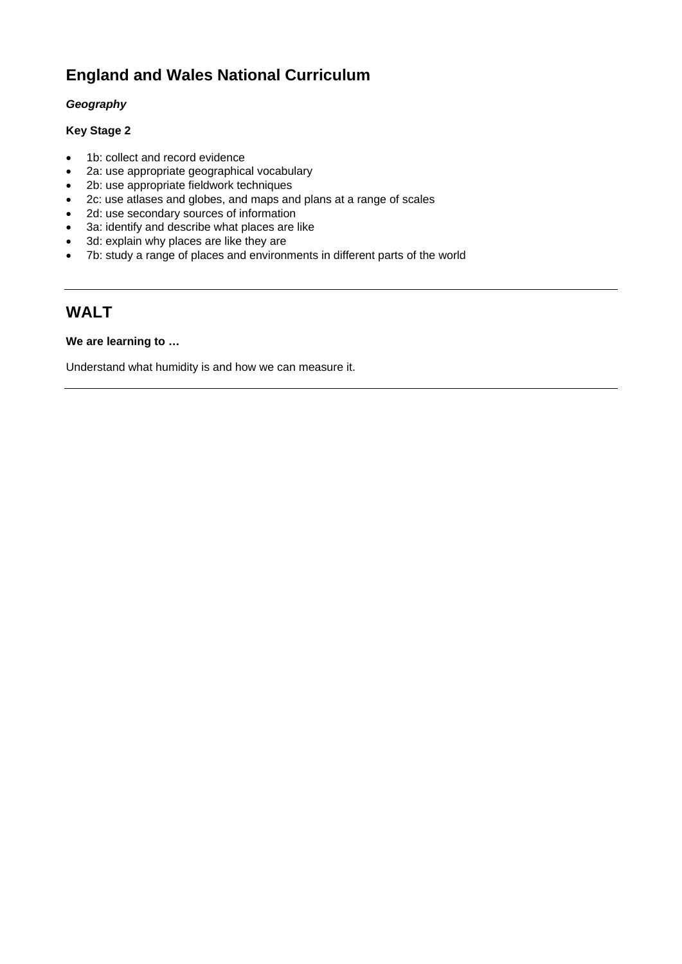## **England and Wales National Curriculum**

#### *Geography*

#### **Key Stage 2**

- 1b: collect and record evidence
- 2a: use appropriate geographical vocabulary
- 2b: use appropriate fieldwork techniques
- 2c: use atlases and globes, and maps and plans at a range of scales
- 2d: use secondary sources of information
- 3a: identify and describe what places are like
- 3d: explain why places are like they are
- 7b: study a range of places and environments in different parts of the world

## **WALT**

#### **We are learning to …**

Understand what humidity is and how we can measure it.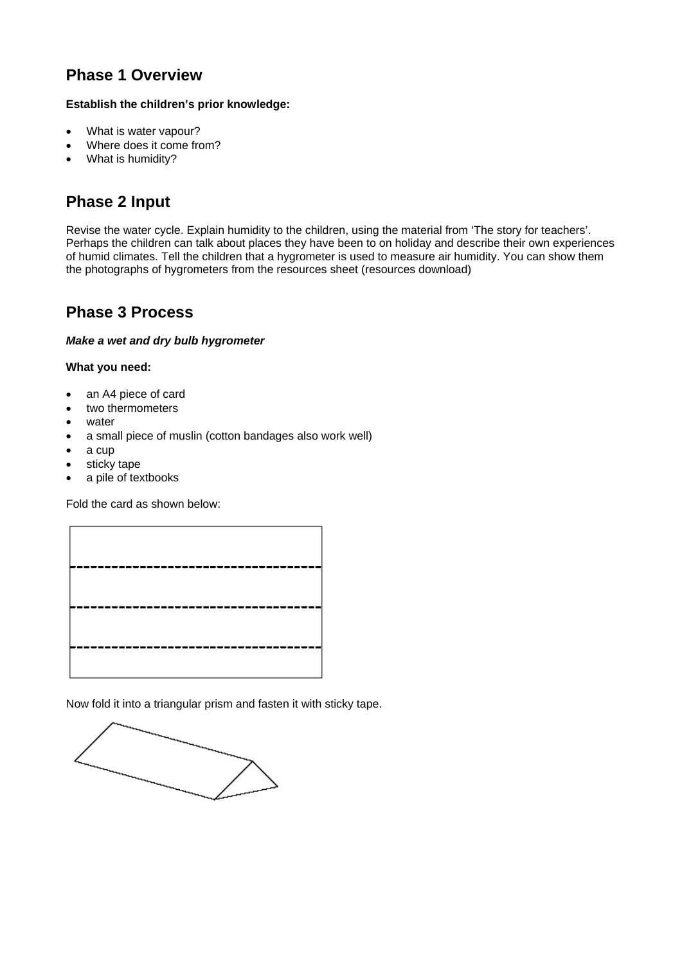## **Phase 1 Overview**

#### **Establish the children's prior knowledge:**

- What is water vapour?
- Where does it come from?
- What is humidity?

## **Phase 2 Input**

Revise the water cycle. Explain humidity to the children, using the material from 'The story for teachers'. Perhaps the children can talk about places they have been to on holiday and describe their own experiences of humid climates. Tell the children that a hygrometer is used to measure air humidity. You can show them the photographs of hygrometers from the resources sheet (resources download)

### **Phase 3 Process**

#### *Make a wet and dry bulb hygrometer*

#### **What you need:**

- an A4 piece of card
- two thermometers
- water
- a small piece of muslin (cotton bandages also work well)
- a cup
- sticky tape
- a pile of textbooks

Fold the card as shown below:



Now fold it into a triangular prism and fasten it with sticky tape.

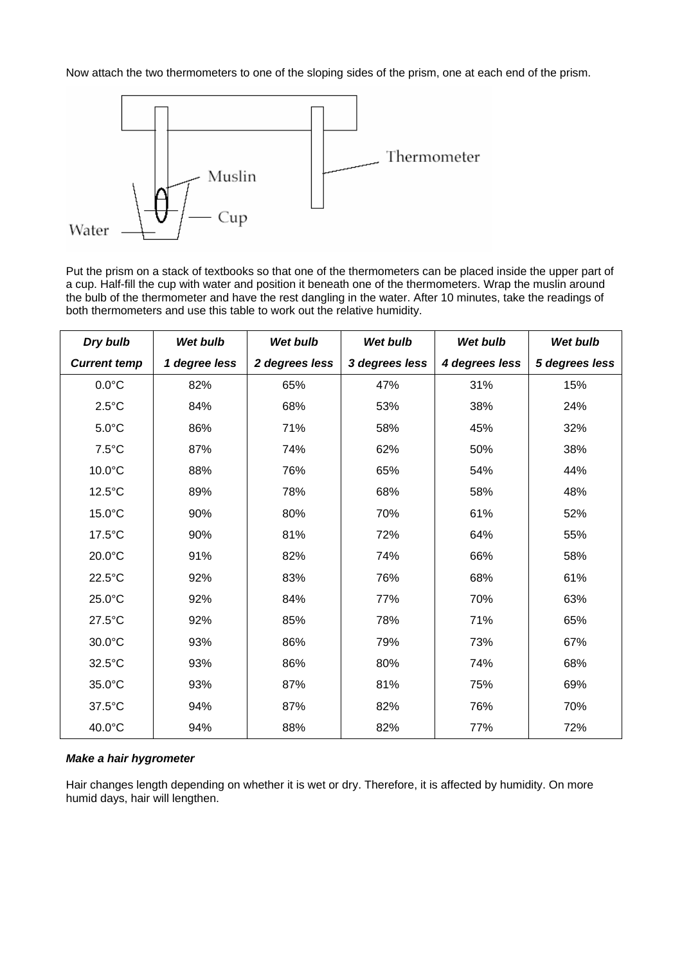Now attach the two thermometers to one of the sloping sides of the prism, one at each end of the prism.



Put the prism on a stack of textbooks so that one of the thermometers can be placed inside the upper part of a cup. Half-fill the cup with water and position it beneath one of the thermometers. Wrap the muslin around the bulb of the thermometer and have the rest dangling in the water. After 10 minutes, take the readings of both thermometers and use this table to work out the relative humidity.

| Dry bulb            | <b>Wet bulb</b> | Wet bulb       | <b>Wet bulb</b> | Wet bulb       | <b>Wet bulb</b> |
|---------------------|-----------------|----------------|-----------------|----------------|-----------------|
| <b>Current temp</b> | 1 degree less   | 2 degrees less | 3 degrees less  | 4 degrees less | 5 degrees less  |
| $0.0^{\circ}$ C     | 82%             | 65%            | 47%             | 31%            | 15%             |
| $2.5^{\circ}$ C     | 84%             | 68%            | 53%             | 38%            | 24%             |
| $5.0^{\circ}$ C     | 86%             | 71%            | 58%             | 45%            | 32%             |
| $7.5^{\circ}$ C     | 87%             | 74%            | 62%             | 50%            | 38%             |
| 10.0°C              | 88%             | 76%            | 65%             | 54%            | 44%             |
| 12.5°C              | 89%             | 78%            | 68%             | 58%            | 48%             |
| 15.0°C              | 90%             | 80%            | 70%             | 61%            | 52%             |
| 17.5°C              | 90%             | 81%            | 72%             | 64%            | 55%             |
| 20.0°C              | 91%             | 82%            | 74%             | 66%            | 58%             |
| 22.5°C              | 92%             | 83%            | 76%             | 68%            | 61%             |
| 25.0°C              | 92%             | 84%            | 77%             | 70%            | 63%             |
| 27.5°C              | 92%             | 85%            | 78%             | 71%            | 65%             |
| 30.0°C              | 93%             | 86%            | 79%             | 73%            | 67%             |
| 32.5°C              | 93%             | 86%            | 80%             | 74%            | 68%             |
| 35.0°C              | 93%             | 87%            | 81%             | 75%            | 69%             |
| 37.5°C              | 94%             | 87%            | 82%             | 76%            | 70%             |
| 40.0°C              | 94%             | 88%            | 82%             | 77%            | 72%             |

#### *Make a hair hygrometer*

Hair changes length depending on whether it is wet or dry. Therefore, it is affected by humidity. On more humid days, hair will lengthen.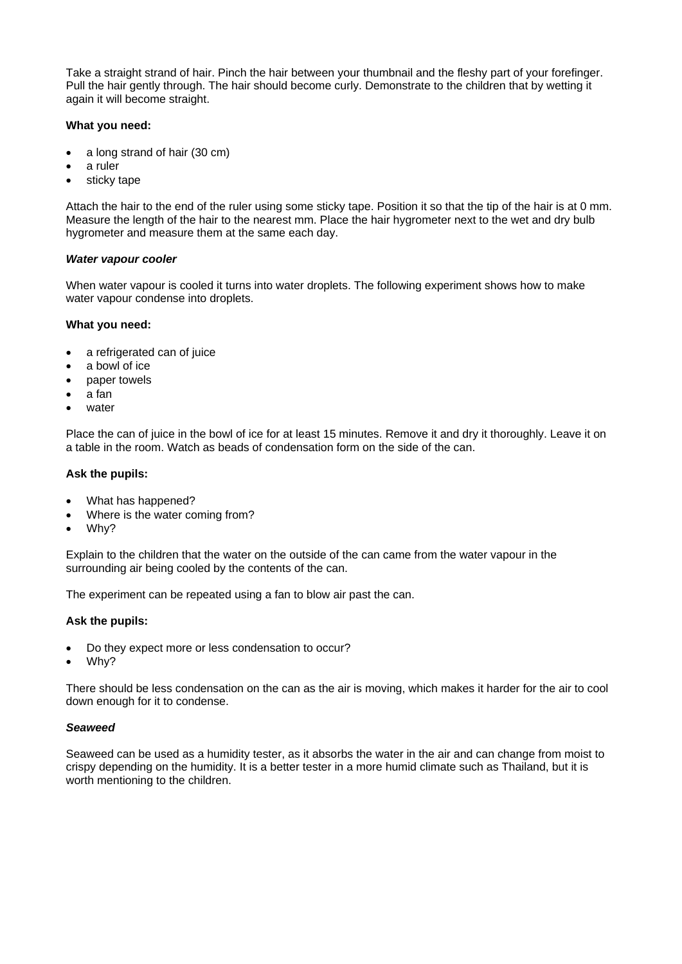Take a straight strand of hair. Pinch the hair between your thumbnail and the fleshy part of your forefinger. Pull the hair gently through. The hair should become curly. Demonstrate to the children that by wetting it again it will become straight.

#### **What you need:**

- a long strand of hair (30 cm)
- a ruler
- sticky tape

Attach the hair to the end of the ruler using some sticky tape. Position it so that the tip of the hair is at 0 mm. Measure the length of the hair to the nearest mm. Place the hair hygrometer next to the wet and dry bulb hygrometer and measure them at the same each day.

#### *Water vapour cooler*

When water vapour is cooled it turns into water droplets. The following experiment shows how to make water vapour condense into droplets.

#### **What you need:**

- a refrigerated can of juice
- a bowl of ice
- paper towels
- a fan
- water

Place the can of juice in the bowl of ice for at least 15 minutes. Remove it and dry it thoroughly. Leave it on a table in the room. Watch as beads of condensation form on the side of the can.

#### **Ask the pupils:**

- What has happened?
- Where is the water coming from?
- Why?

Explain to the children that the water on the outside of the can came from the water vapour in the surrounding air being cooled by the contents of the can.

The experiment can be repeated using a fan to blow air past the can.

#### **Ask the pupils:**

- Do they expect more or less condensation to occur?
- Why?

There should be less condensation on the can as the air is moving, which makes it harder for the air to cool down enough for it to condense.

#### *Seaweed*

Seaweed can be used as a humidity tester, as it absorbs the water in the air and can change from moist to crispy depending on the humidity. It is a better tester in a more humid climate such as Thailand, but it is worth mentioning to the children.